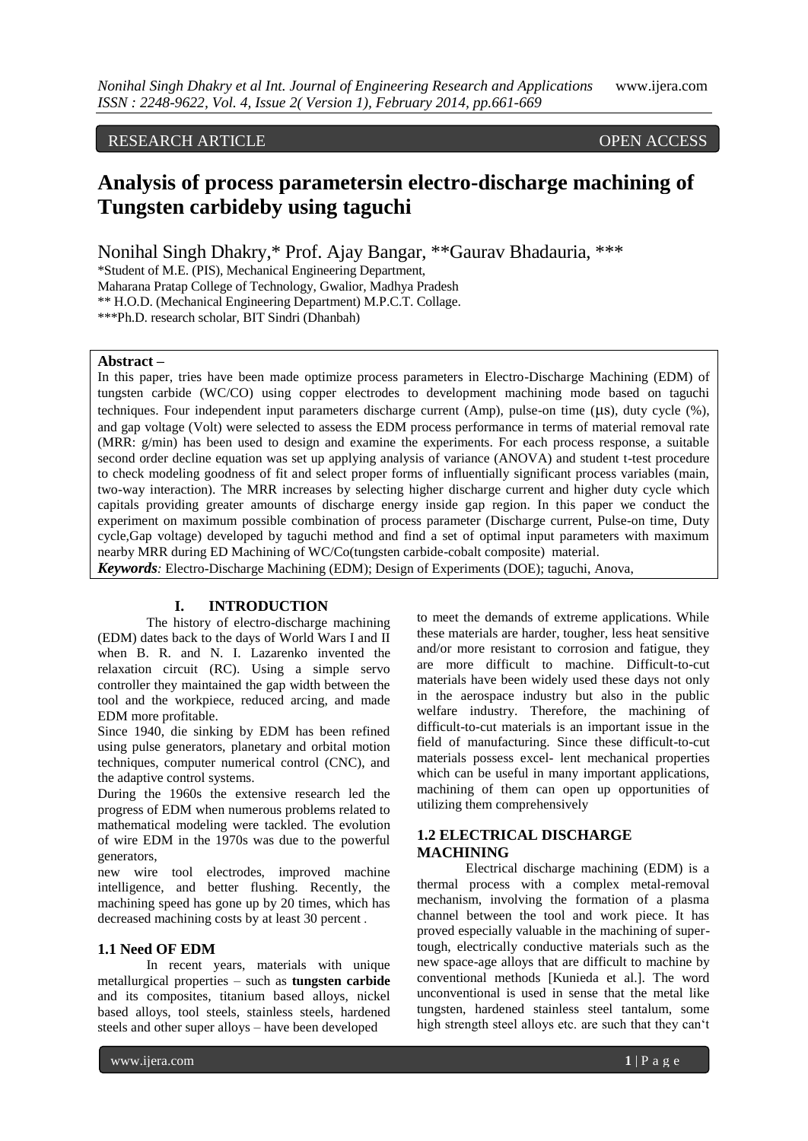# RESEARCH ARTICLE OPEN ACCESS

# **Analysis of process parametersin electro-discharge machining of Tungsten carbideby using taguchi**

Nonihal Singh Dhakry,\* Prof. Ajay Bangar, \*\*Gaurav Bhadauria, \*\*\*

\*Student of M.E. (PIS), Mechanical Engineering Department,

Maharana Pratap College of Technology, Gwalior, Madhya Pradesh

\*\* H.O.D. (Mechanical Engineering Department) M.P.C.T. Collage.

\*\*\*Ph.D. research scholar, BIT Sindri (Dhanbah)

#### **Abstract –**

In this paper, tries have been made optimize process parameters in Electro-Discharge Machining (EDM) of tungsten carbide (WC/CO) using copper electrodes to development machining mode based on taguchi techniques. Four independent input parameters discharge current (Amp), pulse-on time (μs), duty cycle (%), and gap voltage (Volt) were selected to assess the EDM process performance in terms of material removal rate (MRR: g/min) has been used to design and examine the experiments. For each process response, a suitable second order decline equation was set up applying analysis of variance (ANOVA) and student t-test procedure to check modeling goodness of fit and select proper forms of influentially significant process variables (main, two-way interaction). The MRR increases by selecting higher discharge current and higher duty cycle which capitals providing greater amounts of discharge energy inside gap region. In this paper we conduct the experiment on maximum possible combination of process parameter (Discharge current, Pulse-on time, Duty cycle,Gap voltage) developed by taguchi method and find a set of optimal input parameters with maximum nearby MRR during ED Machining of WC/Co(tungsten carbide-cobalt composite) material.

*Keywords:* Electro-Discharge Machining (EDM); Design of Experiments (DOE); taguchi, Anova,

## **I. INTRODUCTION**

The history of electro-discharge machining (EDM) dates back to the days of World Wars I and II when B. R. and N. I. Lazarenko invented the relaxation circuit (RC). Using a simple servo controller they maintained the gap width between the tool and the workpiece, reduced arcing, and made EDM more profitable.

Since 1940, die sinking by EDM has been refined using pulse generators, planetary and orbital motion techniques, computer numerical control (CNC), and the adaptive control systems.

During the 1960s the extensive research led the progress of EDM when numerous problems related to mathematical modeling were tackled. The evolution of wire EDM in the 1970s was due to the powerful generators,

new wire tool electrodes, improved machine intelligence, and better flushing. Recently, the machining speed has gone up by 20 times, which has decreased machining costs by at least 30 percent .

#### **1.1 Need OF EDM**

In recent years, materials with unique metallurgical properties – such as **tungsten carbide**  and its composites, titanium based alloys, nickel based alloys, tool steels, stainless steels, hardened steels and other super alloys – have been developed

to meet the demands of extreme applications. While these materials are harder, tougher, less heat sensitive and/or more resistant to corrosion and fatigue, they are more difficult to machine. Difficult-to-cut materials have been widely used these days not only in the aerospace industry but also in the public welfare industry. Therefore, the machining of difficult-to-cut materials is an important issue in the field of manufacturing. Since these difficult-to-cut materials possess excel- lent mechanical properties which can be useful in many important applications, machining of them can open up opportunities of utilizing them comprehensively

## **1.2 ELECTRICAL DISCHARGE MACHINING**

Electrical discharge machining (EDM) is a thermal process with a complex metal-removal mechanism, involving the formation of a plasma channel between the tool and work piece. It has proved especially valuable in the machining of supertough, electrically conductive materials such as the new space-age alloys that are difficult to machine by conventional methods [Kunieda et al.]. The word unconventional is used in sense that the metal like tungsten, hardened stainless steel tantalum, some high strength steel alloys etc. are such that they can"t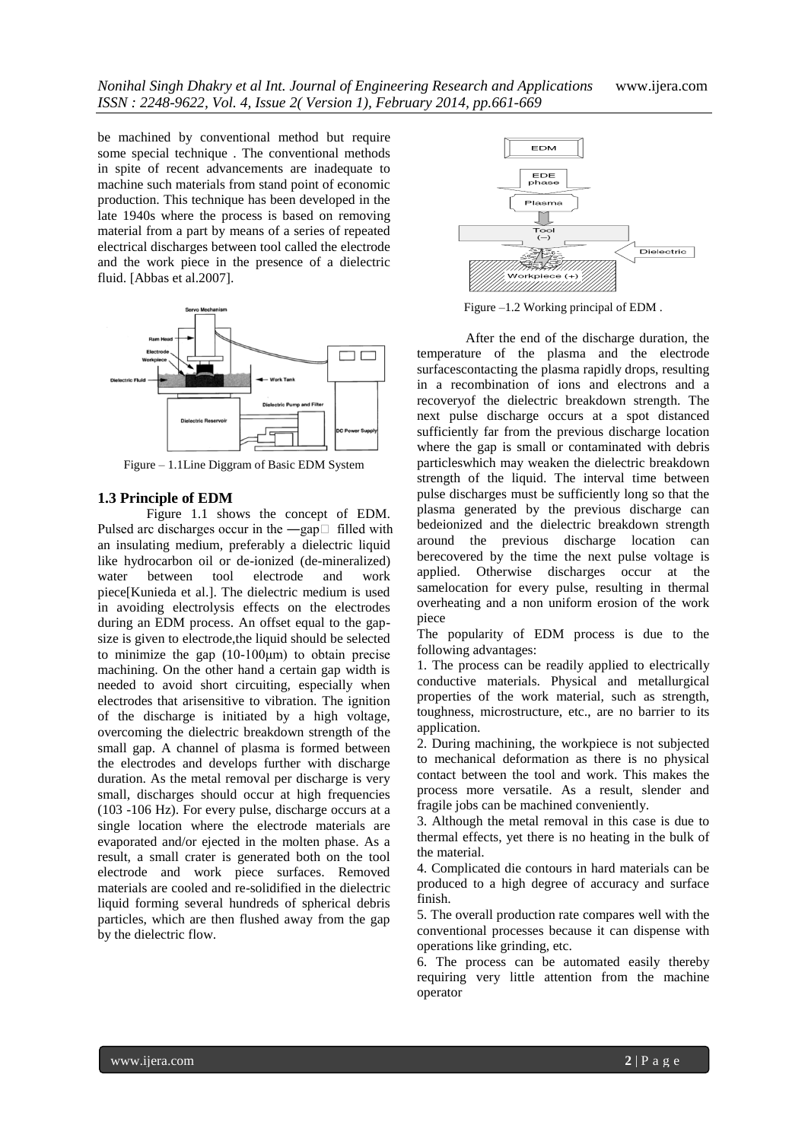be machined by conventional method but require some special technique . The conventional methods in spite of recent advancements are inadequate to machine such materials from stand point of economic production. This technique has been developed in the late 1940s where the process is based on removing material from a part by means of a series of repeated electrical discharges between tool called the electrode and the work piece in the presence of a dielectric fluid. [Abbas et al.2007].



Figure – 1.1Line Diggram of Basic EDM System

#### **1.3 Principle of EDM**

Figure 1.1 shows the concept of EDM. Pulsed arc discharges occur in the  $-\text{gap}$  filled with an insulating medium, preferably a dielectric liquid like hydrocarbon oil or de-ionized (de-mineralized) water between tool electrode and work piece[Kunieda et al.]. The dielectric medium is used in avoiding electrolysis effects on the electrodes during an EDM process. An offset equal to the gapsize is given to electrode,the liquid should be selected to minimize the gap  $(10-100\mu m)$  to obtain precise machining. On the other hand a certain gap width is needed to avoid short circuiting, especially when electrodes that arisensitive to vibration. The ignition of the discharge is initiated by a high voltage, overcoming the dielectric breakdown strength of the small gap. A channel of plasma is formed between the electrodes and develops further with discharge duration. As the metal removal per discharge is very small, discharges should occur at high frequencies (103 -106 Hz). For every pulse, discharge occurs at a single location where the electrode materials are evaporated and/or ejected in the molten phase. As a result, a small crater is generated both on the tool electrode and work piece surfaces. Removed materials are cooled and re-solidified in the dielectric liquid forming several hundreds of spherical debris particles, which are then flushed away from the gap by the dielectric flow.



Figure –1.2 Working principal of EDM .

After the end of the discharge duration, the temperature of the plasma and the electrode surfacescontacting the plasma rapidly drops, resulting in a recombination of ions and electrons and a recoveryof the dielectric breakdown strength. The next pulse discharge occurs at a spot distanced sufficiently far from the previous discharge location where the gap is small or contaminated with debris particleswhich may weaken the dielectric breakdown strength of the liquid. The interval time between pulse discharges must be sufficiently long so that the plasma generated by the previous discharge can bedeionized and the dielectric breakdown strength around the previous discharge location can berecovered by the time the next pulse voltage is applied. Otherwise discharges occur at the samelocation for every pulse, resulting in thermal overheating and a non uniform erosion of the work piece

The popularity of EDM process is due to the following advantages:

1. The process can be readily applied to electrically conductive materials. Physical and metallurgical properties of the work material, such as strength, toughness, microstructure, etc., are no barrier to its application.

2. During machining, the workpiece is not subjected to mechanical deformation as there is no physical contact between the tool and work. This makes the process more versatile. As a result, slender and fragile jobs can be machined conveniently.

3. Although the metal removal in this case is due to thermal effects, yet there is no heating in the bulk of the material.

4. Complicated die contours in hard materials can be produced to a high degree of accuracy and surface finish.

5. The overall production rate compares well with the conventional processes because it can dispense with operations like grinding, etc.

6. The process can be automated easily thereby requiring very little attention from the machine operator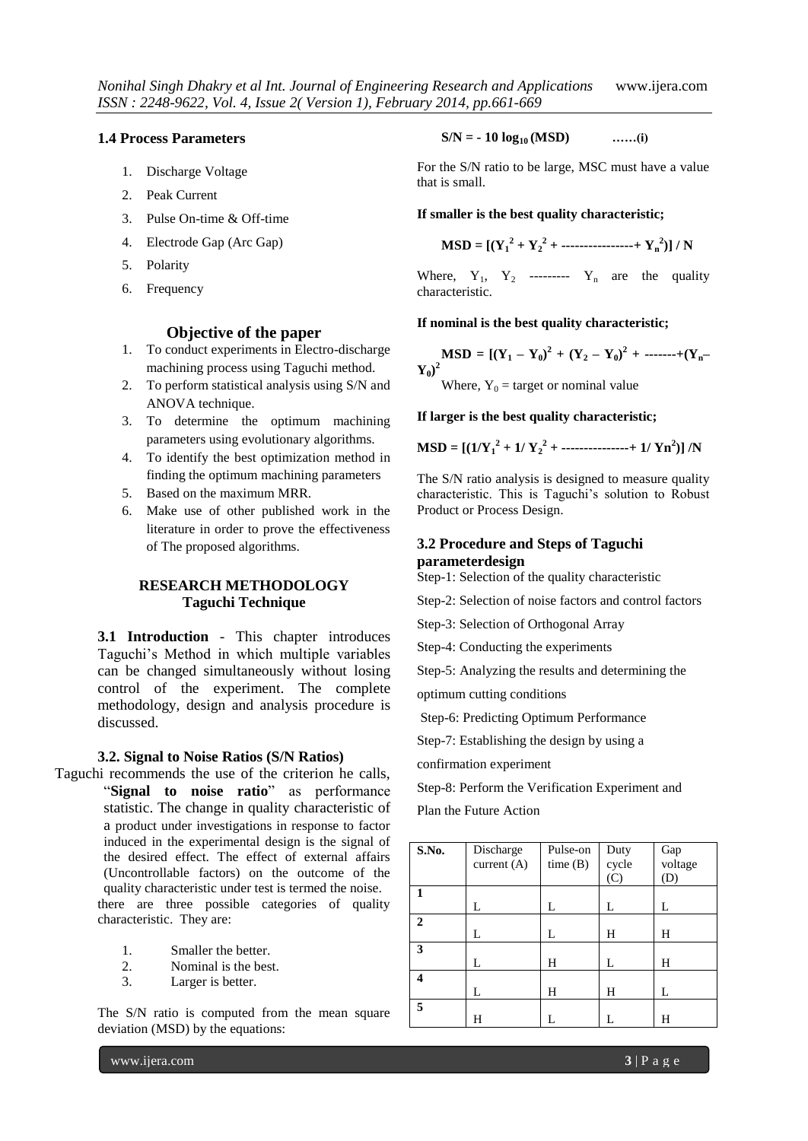### **1.4 Process Parameters**

- 1. Discharge Voltage
- 2. Peak Current
- 3. Pulse On-time & Off-time
- 4. Electrode Gap (Arc Gap)
- 5. Polarity
- 6. Frequency

## **Objective of the paper**

- 1. To conduct experiments in Electro-discharge machining process using Taguchi method.
- 2. To perform statistical analysis using S/N and ANOVA technique.
- 3. To determine the optimum machining parameters using evolutionary algorithms.
- 4. To identify the best optimization method in finding the optimum machining parameters
- 5. Based on the maximum MRR.
- 6. Make use of other published work in the literature in order to prove the effectiveness of The proposed algorithms.

## **RESEARCH METHODOLOGY Taguchi Technique**

**3.1 Introduction** - This chapter introduces Taguchi"s Method in which multiple variables can be changed simultaneously without losing control of the experiment. The complete methodology, design and analysis procedure is discussed.

#### **3.2. Signal to Noise Ratios (S/N Ratios)**

- Taguchi recommends the use of the criterion he calls, "**Signal to noise ratio**" as performance statistic. The change in quality characteristic of a product under investigations in response to factor induced in the experimental design is the signal of the desired effect. The effect of external affairs (Uncontrollable factors) on the outcome of the quality characteristic under test is termed the noise. there are three possible categories of quality characteristic. They are:
	- 1. Smaller the better.
	- 2. Nominal is the best.
	- 3. Larger is better.

The S/N ratio is computed from the mean square deviation (MSD) by the equations:

$$
S/N = -10 log_{10}(MSD) \qquad \qquad ......(i)
$$

For the S/N ratio to be large, MSC must have a value that is small.

#### **If smaller is the best quality characteristic;**

$$
MSD = [(Y_1^2 + Y_2^2 + \dots + \dots + Y_n^2)] / N
$$

Where,  $Y_1$ ,  $Y_2$  ---------  $Y_n$  are the quality characteristic.

#### **If nominal is the best quality characteristic;**

**MSD** =  $[(Y_1 - Y_0)^2 + (Y_2 - Y_0)^2 + \cdots + (Y_n - Y_n)^2]$  $\mathbf{Y_0})^2$ 

Where,  $Y_0$  = target or nominal value

**If larger is the best quality characteristic;** 

$$
MSD = [(1/Y_1^2 + 1/Y_2^2 + \dots + \dots + 1/Y_n^2)]/N
$$

The S/N ratio analysis is designed to measure quality characteristic. This is Taguchi"s solution to Robust Product or Process Design.

## **3.2 Procedure and Steps of Taguchi parameterdesign**

Step-1: Selection of the quality characteristic

Step-2: Selection of noise factors and control factors

Step-3: Selection of Orthogonal Array

Step-4: Conducting the experiments

Step-5: Analyzing the results and determining the optimum cutting conditions

Step-6: Predicting Optimum Performance

Step-7: Establishing the design by using a

confirmation experiment

Step-8: Perform the Verification Experiment and Plan the Future Action

| S.No. | Discharge<br>current $(A)$ | Pulse-on<br>time(B) | Duty<br>cycle<br>(C) | Gap<br>voltage<br>(D) |
|-------|----------------------------|---------------------|----------------------|-----------------------|
|       | L                          | L                   | L                    | L                     |
|       |                            |                     |                      |                       |
| 2     | L                          | L                   | Н                    | Н                     |
| 3     | L                          | Н                   | L                    | Н                     |
| 4     | L                          | Н                   | Н                    | L                     |
| 5     | Н                          |                     |                      | Н                     |

www.ijera.com **3** | P a g e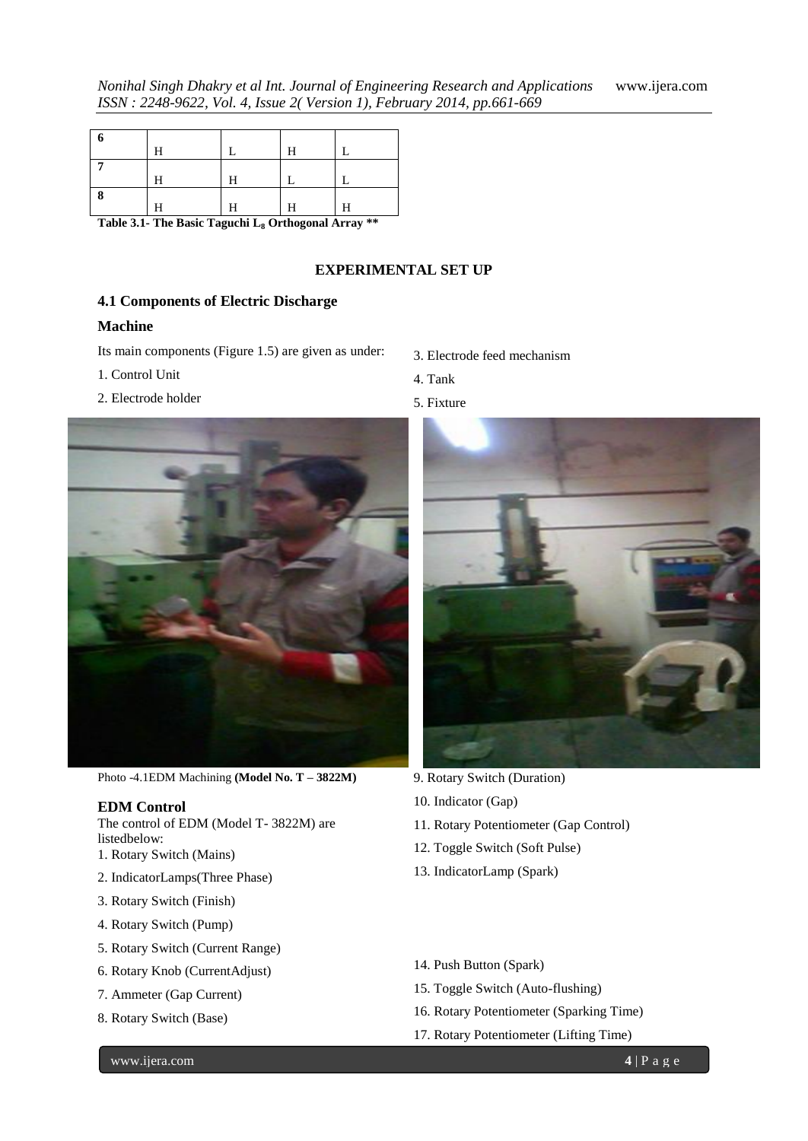|   | Н |   | Н |   |
|---|---|---|---|---|
|   |   |   |   |   |
|   | H | Н |   |   |
| 8 |   |   |   |   |
|   | н | Н | Η | Н |

**Table 3.1- The Basic Taguchi L<sup>8</sup> Orthogonal Array \*\***

## **EXPERIMENTAL SET UP**

## **4.1 Components of Electric Discharge**

## **Machine**

Its main components (Figure 1.5) are given as under:

- 1. Control Unit
- 2. Electrode holder



- 4. Tank
- 5. Fixture



Photo -4.1EDM Machining **(Model No. T – 3822M)**

## **EDM Control**

The control of EDM (Model T- 3822M) are listedbelow:

- 1. Rotary Switch (Mains)
- 2. IndicatorLamps(Three Phase)
- 3. Rotary Switch (Finish)
- 4. Rotary Switch (Pump)
- 5. Rotary Switch (Current Range)
- 6. Rotary Knob (CurrentAdjust)
- 7. Ammeter (Gap Current)
- 8. Rotary Switch (Base)



- 9. Rotary Switch (Duration)
- 10. Indicator (Gap)
- 11. Rotary Potentiometer (Gap Control)
- 12. Toggle Switch (Soft Pulse)
- 13. IndicatorLamp (Spark)
- 14. Push Button (Spark)
- 15. Toggle Switch (Auto-flushing)
- 16. Rotary Potentiometer (Sparking Time)
- 17. Rotary Potentiometer (Lifting Time)

www.ijera.com **4** | P a g e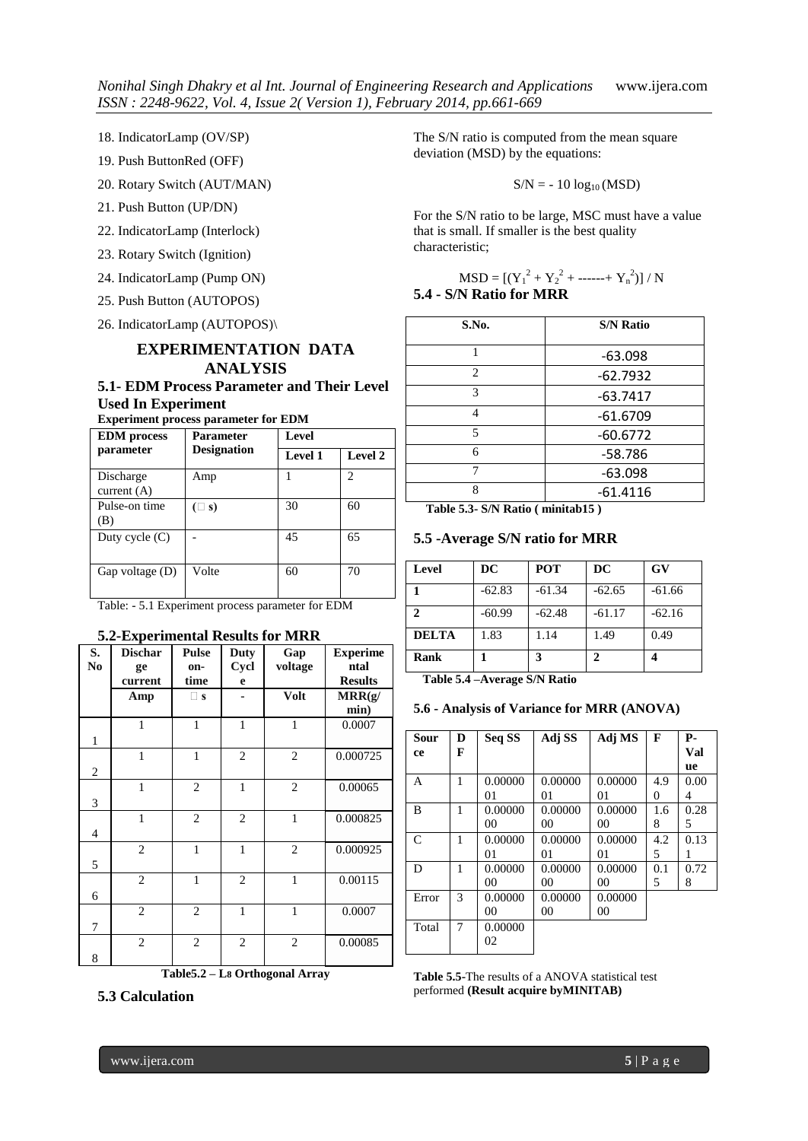18. IndicatorLamp (OV/SP)

- 19. Push ButtonRed (OFF)
- 20. Rotary Switch (AUT/MAN)
- 21. Push Button (UP/DN)
- 22. IndicatorLamp (Interlock)
- 23. Rotary Switch (Ignition)
- 24. IndicatorLamp (Pump ON)
- 25. Push Button (AUTOPOS)
- 26. IndicatorLamp (AUTOPOS)\

# **EXPERIMENTATION DATA ANALYSIS**

# **5.1- EDM Process Parameter and Their Level Used In Experiment**

**Experiment process parameter for EDM**

| <b>EDM</b> process         | <b>Parameter</b>   | Level          |                |  |
|----------------------------|--------------------|----------------|----------------|--|
| parameter                  | <b>Designation</b> | <b>Level 1</b> | Level 2        |  |
| Discharge<br>current $(A)$ | Amp                |                | $\mathfrak{D}$ |  |
| Pulse-on time<br>(B)       | $(\square$ s)      | 30             | 60             |  |
| Duty cycle $(C)$           |                    | 45             | 65             |  |
| Gap voltage $(D)$          | Volte              | 60             | 70             |  |

Table: - 5.1 Experiment process parameter for EDM

## **5.2-Experimental Results for MRR**

| S.<br>N <sub>0</sub> | <b>Dischar</b><br>ge<br>current | <b>Pulse</b><br>on-<br>time | <b>Duty</b><br>Cycl<br>e | Gap<br>voltage | <b>Experime</b><br>ntal<br><b>Results</b> |
|----------------------|---------------------------------|-----------------------------|--------------------------|----------------|-------------------------------------------|
|                      | Amp                             | $\square$ s                 |                          | Volt           | MRR(g)<br>min)                            |
| $\mathbf{1}$         | $\mathbf{1}$                    | $\mathbf{1}$                | $\mathbf{1}$             | 1              | 0.0007                                    |
| $\overline{2}$       | $\mathbf{1}$                    | $\mathbf{1}$                | $\overline{c}$           | $\overline{c}$ | 0.000725                                  |
| 3                    | $\mathbf{1}$                    | $\overline{2}$              | $\mathbf{1}$             | $\overline{2}$ | 0.00065                                   |
| $\overline{4}$       | $\mathbf{1}$                    | $\overline{c}$              | 2                        | 1              | 0.000825                                  |
| 5                    | $\overline{2}$                  | $\mathbf{1}$                | $\mathbf{1}$             | $\overline{2}$ | 0.000925                                  |
| 6                    | $\overline{2}$                  | $\mathbf{1}$                | $\overline{c}$           | $\mathbf{1}$   | 0.00115                                   |
| 7                    | $\mathfrak{2}$                  | $\overline{c}$              | $\mathbf{1}$             | $\mathbf{1}$   | 0.0007                                    |
| 8                    | $\overline{2}$                  | $\mathbf{2}$                | $\overline{c}$           | $\overline{c}$ | 0.00085                                   |

**Table5.2 – L8 Orthogonal Array**



The S/N ratio is computed from the mean square deviation (MSD) by the equations:

 $S/N = -10 log_{10}(MSD)$ 

For the S/N ratio to be large, MSC must have a value that is small. If smaller is the best quality characteristic;

$$
MSD = [(Y_1^2 + Y_2^2 + \dots + Y_n^2)] / N
$$
  
**5.4 - S/N Ratio for MRR**

| S.No.          | <b>S/N Ratio</b> |
|----------------|------------------|
| 1              | $-63.098$        |
| $\mathfrak{D}$ | $-62.7932$       |
| 3              | $-63.7417$       |
| 4              | $-61.6709$       |
| 5              | $-60.6772$       |
| 6              | $-58.786$        |
| 7              | $-63.098$        |
| 8              | $-61.4116$       |

 **Table 5.3- S/N Ratio ( minitab15 )**

#### **5.5 -Average S/N ratio for MRR**

| Level        | DC       | POT      | DC       | <b>GV</b> |
|--------------|----------|----------|----------|-----------|
|              | $-62.83$ | $-61.34$ | $-62.65$ | $-61.66$  |
| $\mathbf{2}$ | $-60.99$ | $-62.48$ | $-61.17$ | $-62.16$  |
| <b>DELTA</b> | 1.83     | 1.14     | 1.49     | 0.49      |
| Rank         |          | 3        | 2        |           |

 **Table 5.4 –Average S/N Ratio** 

#### **5.6 - Analysis of Variance for MRR (ANOVA)**

| Sour<br>ce | D<br>F | Seq SS         | Adj SS  | Adj MS  | F   | Р.<br>Val |
|------------|--------|----------------|---------|---------|-----|-----------|
|            |        |                |         |         |     | ue        |
| A          | 1      | 0.00000        | 0.00000 | 0.00000 | 4.9 | 0.00      |
|            |        | 01             | 01      | 01      | 0   | 4         |
| B          | 1      | 0.00000        | 0.00000 | 0.00000 | 1.6 | 0.28      |
|            |        | 00             | 00      | 00      | 8   | 5         |
| C          | 1      | 0.00000        | 0.00000 | 0.00000 | 4.2 | 0.13      |
|            |        | 01             | $_{01}$ | 01      | 5   | 1         |
| D          | 1      | 0.00000        | 0.00000 | 0.00000 | 0.1 | 0.72      |
|            |        | 0 <sub>0</sub> | 00      | 00      | 5   | 8         |
| Error      | 3      | 0.00000        | 0.00000 | 0.00000 |     |           |
|            |        | 00             | 00      | 00      |     |           |
| Total      | 7      | 0.00000        |         |         |     |           |
|            |        | 02             |         |         |     |           |

**Table 5.5-**The results of a ANOVA statistical test performed **(Result acquire byMINITAB)**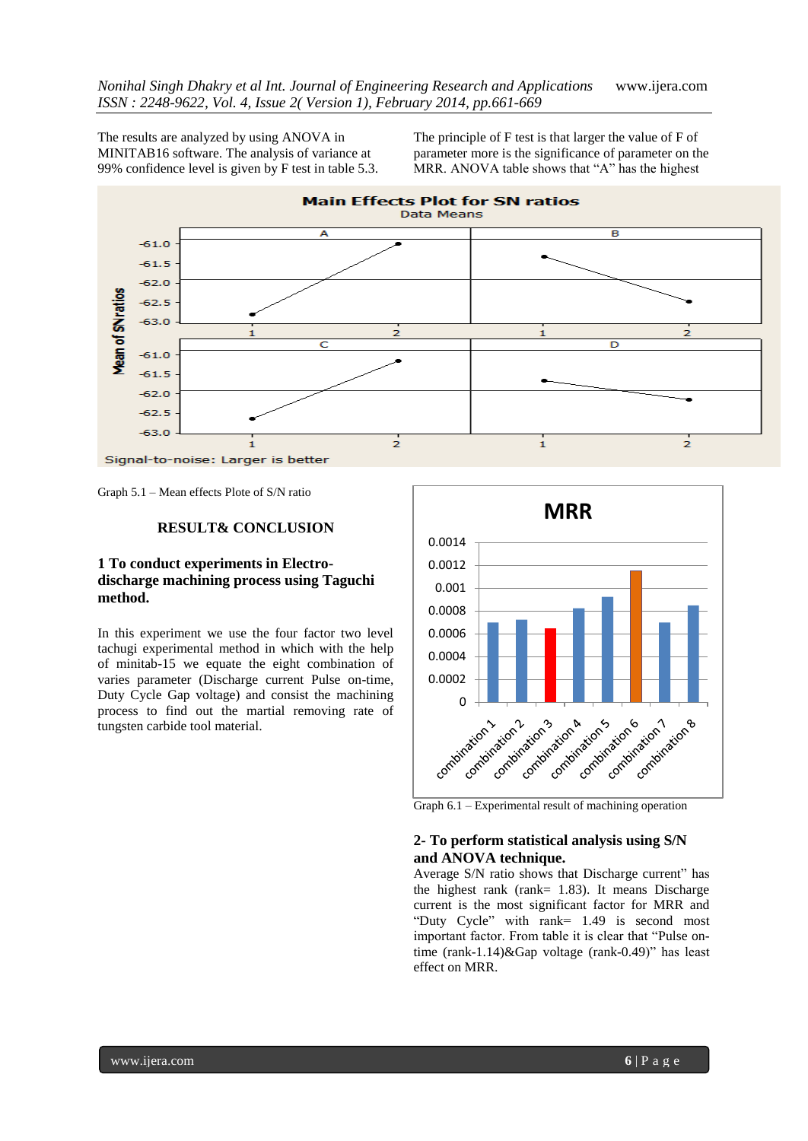The results are analyzed by using ANOVA in MINITAB16 software. The analysis of variance at 99% confidence level is given by F test in table 5.3.

The principle of F test is that larger the value of F of parameter more is the significance of parameter on the MRR. ANOVA table shows that "A" has the highest



Graph 5.1 – Mean effects Plote of S/N ratio

#### **RESULT& CONCLUSION**

## **1 To conduct experiments in Electrodischarge machining process using Taguchi method.**

In this experiment we use the four factor two level tachugi experimental method in which with the help of minitab-15 we equate the eight combination of varies parameter (Discharge current Pulse on-time, Duty Cycle Gap voltage) and consist the machining process to find out the martial removing rate of tungsten carbide tool material.



Graph 6.1 – Experimental result of machining operation

## **2- To perform statistical analysis using S/N and ANOVA technique.**

Average S/N ratio shows that Discharge current" has the highest rank (rank= 1.83). It means Discharge current is the most significant factor for MRR and "Duty Cycle" with rank= 1.49 is second most important factor. From table it is clear that "Pulse ontime (rank-1.14)&Gap voltage (rank-0.49)" has least effect on MRR.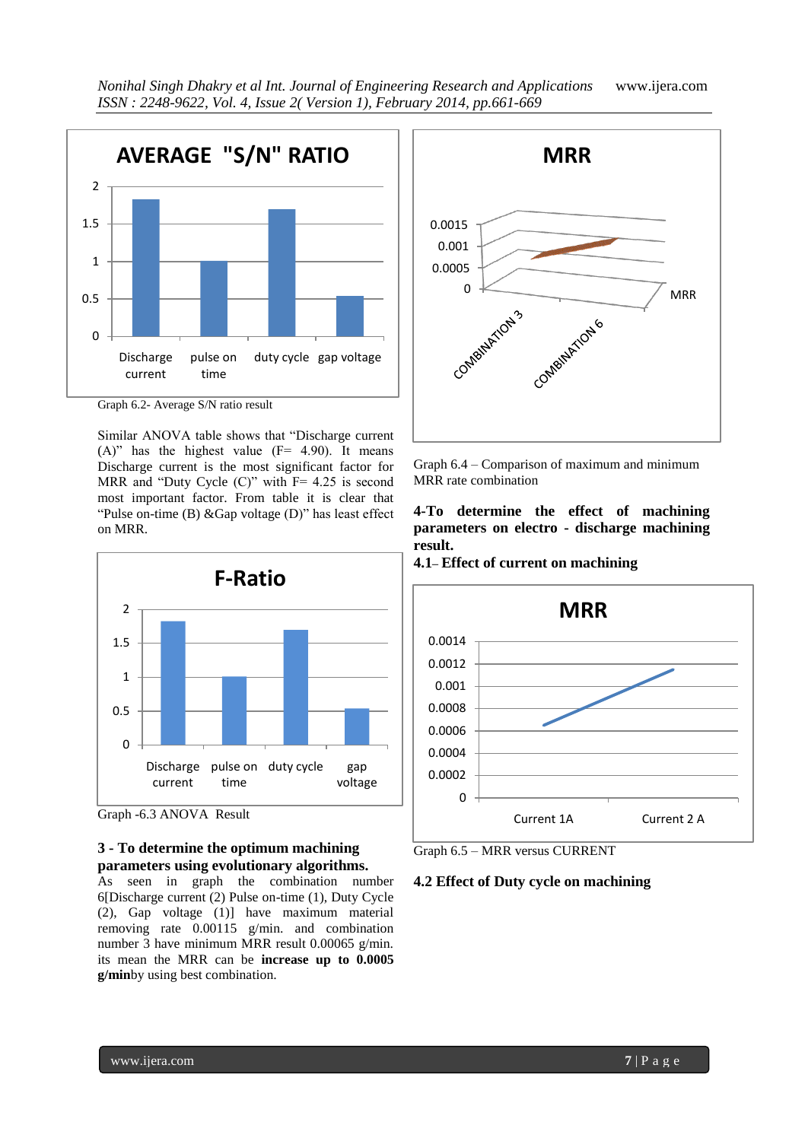

Graph 6.2- Average S/N ratio result

Similar ANOVA table shows that "Discharge current  $(A)$ " has the highest value ( $F = 4.90$ ). It means Discharge current is the most significant factor for MRR and "Duty Cycle  $(C)$ " with  $F = 4.25$  is second most important factor. From table it is clear that "Pulse on-time (B) &Gap voltage (D)" has least effect on MRR.



Graph -6.3 ANOVA Result

# **3 - To determine the optimum machining parameters using evolutionary algorithms.**

As seen in graph the combination number 6[Discharge current (2) Pulse on-time (1), Duty Cycle (2), Gap voltage (1)] have maximum material removing rate 0.00115 g/min. and combination number 3 have minimum MRR result 0.00065 g/min. its mean the MRR can be **increase up to 0.0005 g/min**by using best combination.



Graph 6.4 – Comparison of maximum and minimum MRR rate combination

**4-To determine the effect of machining parameters on electro - discharge machining result.**

**4.1– Effect of current on machining**





# **4.2 Effect of Duty cycle on machining**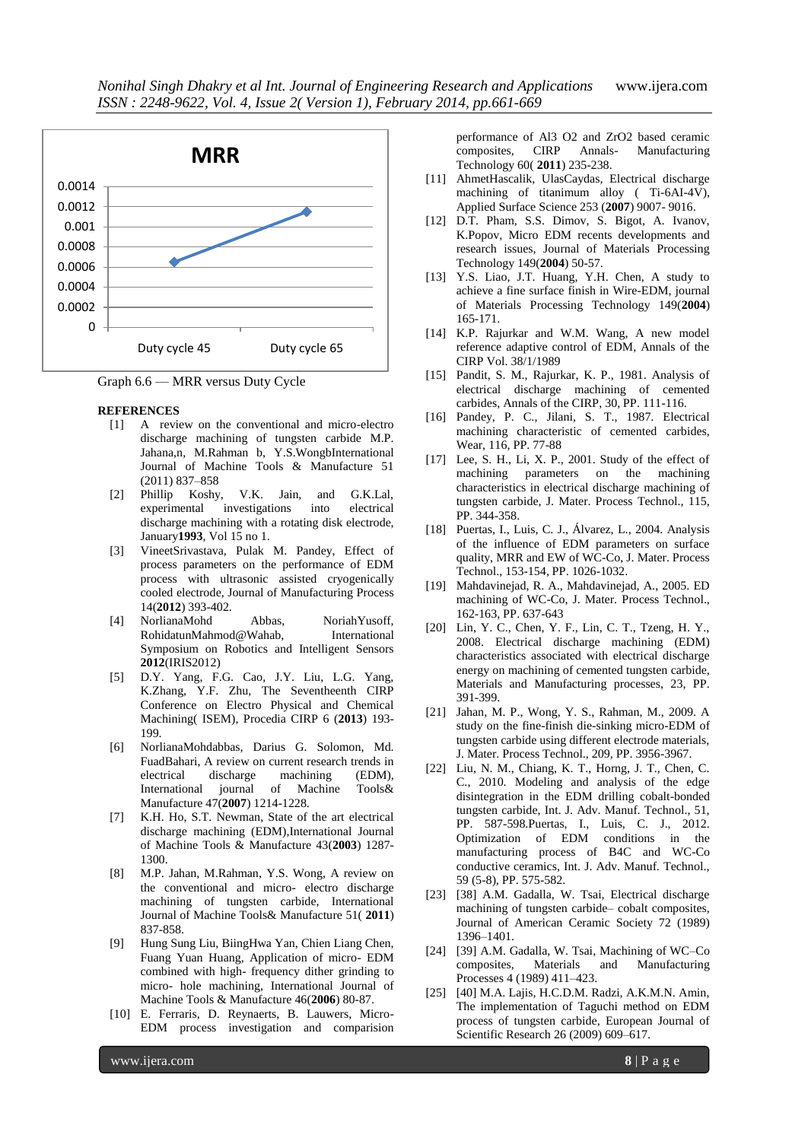

Graph 6.6 –– MRR versus Duty Cycle

#### **REFERENCES**

- [1] A review on the conventional and micro-electro discharge machining of tungsten carbide M.P. Jahana,n, M.Rahman b, Y.S.WongbInternational Journal of Machine Tools & Manufacture 51 (2011) 837–858
- [2] Phillip Koshy, V.K. Jain, and G.K.Lal, experimental investigations into electrical discharge machining with a rotating disk electrode, January**1993**, Vol 15 no 1.
- [3] VineetSrivastava, Pulak M. Pandey, Effect of process parameters on the performance of EDM process with ultrasonic assisted cryogenically cooled electrode, Journal of Manufacturing Process 14(**2012**) 393-402.
- [4] NorlianaMohd Abbas, NoriahYusoff, RohidatunMahmod@Wahab, International Symposium on Robotics and Intelligent Sensors **2012**(IRIS2012)
- [5] D.Y. Yang, F.G. Cao, J.Y. Liu, L.G. Yang, K.Zhang, Y.F. Zhu, The Seventheenth CIRP Conference on Electro Physical and Chemical Machining( ISEM), Procedia CIRP 6 (**2013**) 193- 199.
- [6] NorlianaMohdabbas, Darius G. Solomon, Md. FuadBahari, A review on current research trends in electrical discharge machining (EDM), International journal of Machine Tools& Manufacture 47(**2007**) 1214-1228.
- [7] K.H. Ho, S.T. Newman, State of the art electrical discharge machining (EDM),International Journal of Machine Tools & Manufacture 43(**2003**) 1287- 1300.
- [8] M.P. Jahan, M.Rahman, Y.S. Wong, A review on the conventional and micro- electro discharge machining of tungsten carbide, International Journal of Machine Tools& Manufacture 51( **2011**) 837-858.
- [9] Hung Sung Liu, BiingHwa Yan, Chien Liang Chen, Fuang Yuan Huang, Application of micro- EDM combined with high- frequency dither grinding to micro- hole machining, International Journal of Machine Tools & Manufacture 46(**2006**) 80-87.
- [10] E. Ferraris, D. Reynaerts, B. Lauwers, Micro-EDM process investigation and comparision

performance of Al3 O2 and ZrO2 based ceramic composites, CIRP Annals- Manufacturing Technology 60( **2011**) 235-238.

- [11] AhmetHascalik, UlasCaydas, Electrical discharge machining of titanimum alloy ( Ti-6AI-4V), Applied Surface Science 253 (**2007**) 9007- 9016.
- [12] D.T. Pham, S.S. Dimov, S. Bigot, A. Ivanov, K.Popov, Micro EDM recents developments and research issues, Journal of Materials Processing Technology 149(**2004**) 50-57.
- [13] Y.S. Liao, J.T. Huang, Y.H. Chen, A study to achieve a fine surface finish in Wire-EDM, journal of Materials Processing Technology 149(**2004**) 165-171.
- [14] K.P. Rajurkar and W.M. Wang, A new model reference adaptive control of EDM, Annals of the CIRP Vol. 38/1/1989
- [15] Pandit, S. M., Rajurkar, K. P., 1981. Analysis of electrical discharge machining of cemented carbides, Annals of the CIRP, 30, PP. 111-116.
- [16] Pandey, P. C., Jilani, S. T., 1987. Electrical machining characteristic of cemented carbides, Wear, 116, PP. 77-88
- [17] Lee, S. H., Li, X. P., 2001. Study of the effect of machining parameters on the machining characteristics in electrical discharge machining of tungsten carbide, J. Mater. Process Technol., 115, PP. 344-358.
- [18] Puertas, I., Luis, C. J., Álvarez, L., 2004. Analysis of the influence of EDM parameters on surface quality, MRR and EW of WC-Co, J. Mater. Process Technol., 153-154, PP. 1026-1032.
- [19] Mahdavinejad, R. A., Mahdavinejad, A., 2005. ED machining of WC-Co, J. Mater. Process Technol., 162-163, PP. 637-643
- [20] Lin, Y. C., Chen, Y. F., Lin, C. T., Tzeng, H. Y., 2008. Electrical discharge machining (EDM) characteristics associated with electrical discharge energy on machining of cemented tungsten carbide, Materials and Manufacturing processes, 23, PP. 391-399.
- [21] Jahan, M. P., Wong, Y. S., Rahman, M., 2009. A study on the fine-finish die-sinking micro-EDM of tungsten carbide using different electrode materials, J. Mater. Process Technol., 209, PP. 3956-3967.
- [22] Liu, N. M., Chiang, K. T., Horng, J. T., Chen, C. C., 2010. Modeling and analysis of the edge disintegration in the EDM drilling cobalt-bonded tungsten carbide, Int. J. Adv. Manuf. Technol., 51, PP. 587-598.Puertas, I., Luis, C. J., 2012. Optimization of EDM conditions in the manufacturing process of B4C and WC-Co conductive ceramics, Int. J. Adv. Manuf. Technol., 59 (5-8), PP. 575-582.
- [23] [38] A.M. Gadalla, W. Tsai, Electrical discharge machining of tungsten carbide– cobalt composites, Journal of American Ceramic Society 72 (1989) 1396–1401.
- [24] [39] A.M. Gadalla, W. Tsai, Machining of WC–Co composites, Materials and Manufacturing Processes 4 (1989) 411–423.
- [25] [40] M.A. Lajis, H.C.D.M. Radzi, A.K.M.N. Amin, The implementation of Taguchi method on EDM process of tungsten carbide, European Journal of Scientific Research 26 (2009) 609–617.